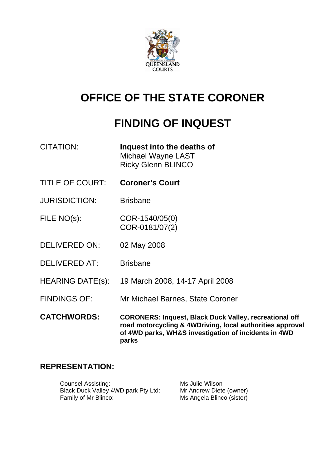

# **OFFICE OF THE STATE CORONER**

# **FINDING OF INQUEST**

| <b>CITATION:</b> | Inquest into the deaths of |
|------------------|----------------------------|
|                  | Michael Wayne LAST         |

Ricky Glenn BLINCO

- TITLE OF COURT: **Coroner's Court**
- JURISDICTION: Brisbane

FILE NO(s): COR-1540/05(0) COR-0181/07(2)

DELIVERED ON: 02 May 2008

DELIVERED AT: Brisbane

HEARING DATE(s): 19 March 2008, 14-17 April 2008

FINDINGS OF: Mr Michael Barnes, State Coroner

**CATCHWORDS: CORONERS: Inquest, Black Duck Valley, recreational off road motorcycling & 4WDriving, local authorities approval of 4WD parks, WH&S investigation of incidents in 4WD parks** 

# **REPRESENTATION:**

Counsel Assisting: Ms Julie Wilson Black Duck Valley 4WD park Pty Ltd: Mr Andrew Diete (owner) Family of Mr Blinco: Ms Angela Blinco (sister)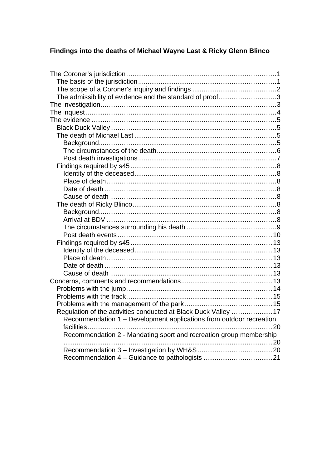# Findings into the deaths of Michael Wayne Last & Ricky Glenn Blinco

| The admissibility of evidence and the standard of proof3            |    |
|---------------------------------------------------------------------|----|
|                                                                     |    |
|                                                                     |    |
|                                                                     |    |
|                                                                     |    |
|                                                                     |    |
|                                                                     |    |
|                                                                     |    |
|                                                                     |    |
|                                                                     |    |
|                                                                     |    |
|                                                                     |    |
|                                                                     |    |
|                                                                     |    |
|                                                                     |    |
|                                                                     |    |
|                                                                     |    |
|                                                                     |    |
|                                                                     |    |
|                                                                     |    |
|                                                                     |    |
|                                                                     |    |
|                                                                     |    |
|                                                                     |    |
|                                                                     |    |
|                                                                     |    |
|                                                                     |    |
|                                                                     |    |
| Regulation of the activities conducted at Black Duck Valley 17      |    |
| Recommendation 1 - Development applications from outdoor recreation |    |
| facilities.                                                         | 20 |
| Recommendation 2 - Mandating sport and recreation group membership  |    |
|                                                                     |    |
|                                                                     |    |
|                                                                     |    |
|                                                                     |    |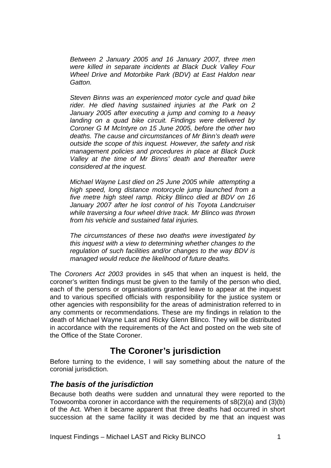<span id="page-2-0"></span>*Between 2 January 2005 and 16 January 2007, three men were killed in separate incidents at Black Duck Valley Four Wheel Drive and Motorbike Park (BDV) at East Haldon near Gatton.* 

*Steven Binns was an experienced motor cycle and quad bike rider. He died having sustained injuries at the Park on 2 January 2005 after executing a jump and coming to a heavy landing on a quad bike circuit. Findings were delivered by Coroner G M McIntyre on 15 June 2005, before the other two deaths. The cause and circumstances of Mr Binn's death were outside the scope of this inquest. However, the safety and risk management policies and procedures in place at Black Duck Valley at the time of Mr Binns' death and thereafter were considered at the inquest.* 

*Michael Wayne Last died on 25 June 2005 while attempting a high speed, long distance motorcycle jump launched from a five metre high steel ramp. Ricky Blinco died at BDV on 16 January 2007 after he lost control of his Toyota Landcruiser while traversing a four wheel drive track. Mr Blinco was thrown from his vehicle and sustained fatal injuries.* 

*The circumstances of these two deaths were investigated by this inquest with a view to determining whether changes to the regulation of such facilities and/or changes to the way BDV is managed would reduce the likelihood of future deaths.* 

The *Coroners Act 2003* provides in s45 that when an inquest is held, the coroner's written findings must be given to the family of the person who died, each of the persons or organisations granted leave to appear at the inquest and to various specified officials with responsibility for the justice system or other agencies with responsibility for the areas of administration referred to in any comments or recommendations. These are my findings in relation to the death of Michael Wayne Last and Ricky Glenn Blinco. They will be distributed in accordance with the requirements of the Act and posted on the web site of the Office of the State Coroner.

# **The Coroner's jurisdiction**

Before turning to the evidence, I will say something about the nature of the coronial jurisdiction.

# *The basis of the jurisdiction*

Because both deaths were sudden and unnatural they were reported to the Toowoomba coroner in accordance with the requirements of s8(2)(a) and (3)(b) of the Act. When it became apparent that three deaths had occurred in short succession at the same facility it was decided by me that an inquest was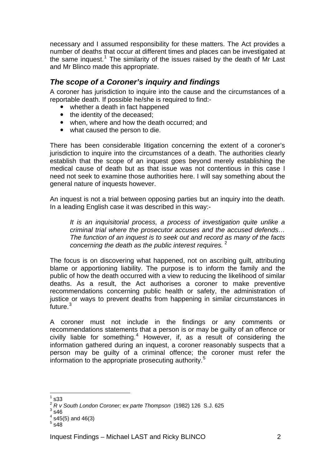<span id="page-3-0"></span>necessary and I assumed responsibility for these matters. The Act provides a number of deaths that occur at different times and places can be investigated at the same inquest.<sup>[1](#page-3-1)</sup> The similarity of the issues raised by the death of Mr Last and Mr Blinco made this appropriate.

# *The scope of a Coroner's inquiry and findings*

A coroner has jurisdiction to inquire into the cause and the circumstances of a reportable death. If possible he/she is required to find:-

- whether a death in fact happened
- the identity of the deceased;
- when, where and how the death occurred; and
- what caused the person to die.

There has been considerable litigation concerning the extent of a coroner's jurisdiction to inquire into the circumstances of a death. The authorities clearly establish that the scope of an inquest goes beyond merely establishing the medical cause of death but as that issue was not contentious in this case I need not seek to examine those authorities here. I will say something about the general nature of inquests however.

An inquest is not a trial between opposing parties but an inquiry into the death. In a leading English case it was described in this way:-

*It is an inquisitorial process, a process of investigation quite unlike a criminal trial where the prosecutor accuses and the accused defends… The function of an inquest is to seek out and record as many of the facts concerning the death as the public interest requires.* [2](#page-3-2)

The focus is on discovering what happened, not on ascribing guilt, attributing blame or apportioning liability. The purpose is to inform the family and the public of how the death occurred with a view to reducing the likelihood of similar deaths. As a result, the Act authorises a coroner to make preventive recommendations concerning public health or safety, the administration of justice or ways to prevent deaths from happening in similar circumstances in .<br>future.<sup>[3](#page-3-3)</sup>

A coroner must not include in the findings or any comments or recommendations statements that a person is or may be guilty of an offence or civilly liable for something. $4$  However, if, as a result of considering the information gathered during an inquest, a coroner reasonably suspects that a person may be guilty of a criminal offence; the coroner must refer the information to the appropriate prosecuting authority.<sup>[5](#page-3-5)</sup>

 $\overline{a}$ 1 s33

<span id="page-3-2"></span><span id="page-3-1"></span><sup>&</sup>lt;sup>2</sup> R v South London Coroner; ex parte Thompson (1982) 126 S.J. 625

<span id="page-3-3"></span> $3$  s46

<span id="page-3-4"></span> $4$  s45(5) and 46(3)

<span id="page-3-5"></span> $^5$  s48  $\overline{)}$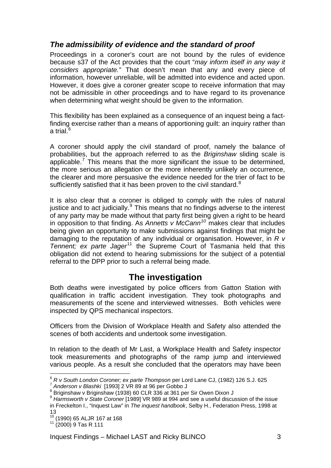# <span id="page-4-0"></span>*The admissibility of evidence and the standard of proof*

Proceedings in a coroner's court are not bound by the rules of evidence because s37 of the Act provides that the court "*may inform itself in any way it considers appropriate."* That doesn't mean that any and every piece of information, however unreliable, will be admitted into evidence and acted upon. However, it does give a coroner greater scope to receive information that may not be admissible in other proceedings and to have regard to its provenance when determining what weight should be given to the information.

This flexibility has been explained as a consequence of an inquest being a factfinding exercise rather than a means of apportioning guilt: an inquiry rather than a trial.<sup>[6](#page-4-1)</sup>

A coroner should apply the civil standard of proof, namely the balance of probabilities, but the approach referred to as the *Briginshaw* sliding scale is applicable.<sup>[7](#page-4-2)</sup> This means that the more significant the issue to be determined, the more serious an allegation or the more inherently unlikely an occurrence, the clearer and more persuasive the evidence needed for the trier of fact to be sufficiently satisfied that it has been proven to the civil standard. $8$ 

It is also clear that a coroner is obliged to comply with the rules of natural justice and to act judicially. $9$  This means that no findings adverse to the interest of any party may be made without that party first being given a right to be heard in opposition to that finding. As *Annetts v McCann[10](#page-4-5)* makes clear that includes being given an opportunity to make submissions against findings that might be damaging to the reputation of any individual or organisation. However, in *R v Tennent; ex parte Jager*<sup>[11](#page-4-6)</sup> the Supreme Court of Tasmania held that this obligation did not extend to hearing submissions for the subject of a potential referral to the DPP prior to such a referral being made.

# **The investigation**

Both deaths were investigated by police officers from Gatton Station with qualification in traffic accident investigation. They took photographs and measurements of the scene and interviewed witnesses. Both vehicles were inspected by QPS mechanical inspectors.

Officers from the Division of Workplace Health and Safety also attended the scenes of both accidents and undertook some investigation.

In relation to the death of Mr Last, a Workplace Health and Safety inspector took measurements and photographs of the ramp jump and interviewed various people. As a result she concluded that the operators may have been

 $\overline{a}$ 

<span id="page-4-1"></span><sup>&</sup>lt;sup>6</sup> *R v South London Coroner; ex parte Thompson* per Lord Lane CJ, (1982) 126 S.J. 625<br><sup>7</sup> Anderson v Blashki [1993] 2 VR 89 at 96 per Gobbo J

<span id="page-4-3"></span><span id="page-4-2"></span><sup>&</sup>lt;sup>8</sup> Briginshaw v Briginshaw (1938) 60 CLR 336 at 361 per Sir Owen Dixon J

<span id="page-4-4"></span><sup>9</sup> *Harmsworth v State Coroner* [1989] VR 989 at 994 and see a useful discussion of the issue in Freckelton I., "Inquest Law" in *The inquest handbook*, Selby H., Federation Press, 1998 at 13

<span id="page-4-5"></span><sup>&</sup>lt;sup>10</sup> (1990) 65 ALJR 167 at 168<br><sup>11</sup> (2000) 9 Tas R 111

<span id="page-4-6"></span>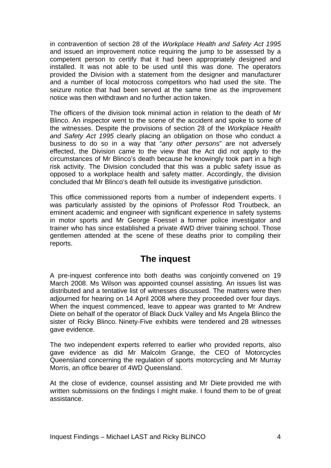<span id="page-5-0"></span>in contravention of section 28 of the *Workplace Health and Safety Act 1995* and issued an improvement notice requiring the jump to be assessed by a competent person to certify that it had been appropriately designed and installed. It was not able to be used until this was done. The operators provided the Division with a statement from the designer and manufacturer and a number of local motocross competitors who had used the site. The seizure notice that had been served at the same time as the improvement notice was then withdrawn and no further action taken.

The officers of the division took minimal action in relation to the death of Mr Blinco. An inspector went to the scene of the accident and spoke to some of the witnesses. Despite the provisions of section 28 of the *Workplace Health and Safety Act 1995* clearly placing an obligation on those who conduct a business to do so in a way that "*any other persons*" are not adversely effected, the Division came to the view that the Act did not apply to the circumstances of Mr Blinco's death because he knowingly took part in a high risk activity. The Division concluded that this was a public safety issue as opposed to a workplace health and safety matter. Accordingly, the division concluded that Mr Blinco's death fell outside its investigative jurisdiction.

This office commissioned reports from a number of independent experts. I was particularly assisted by the opinions of Professor Rod Troutbeck, an eminent academic and engineer with significant experience in safety systems in motor sports and Mr George Foessel a former police investigator and trainer who has since established a private 4WD driver training school. Those gentlemen attended at the scene of these deaths prior to compiling their reports.

# **The inquest**

A pre-inquest conference into both deaths was conjointly convened on 19 March 2008. Ms Wilson was appointed counsel assisting. An issues list was distributed and a tentative list of witnesses discussed. The matters were then adjourned for hearing on 14 April 2008 where they proceeded over four days. When the inquest commenced, leave to appear was granted to Mr Andrew Diete on behalf of the operator of Black Duck Valley and Ms Angela Blinco the sister of Ricky Blinco. Ninety-Five exhibits were tendered and 28 witnesses gave evidence.

The two independent experts referred to earlier who provided reports, also gave evidence as did Mr Malcolm Grange, the CEO of Motorcycles Queensland concerning the regulation of sports motorcycling and Mr Murray Morris, an office bearer of 4WD Queensland.

At the close of evidence, counsel assisting and Mr Diete provided me with written submissions on the findings I might make. I found them to be of great assistance.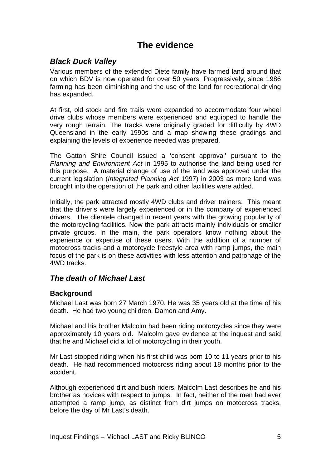# **The evidence**

# <span id="page-6-0"></span>*Black Duck Valley*

Various members of the extended Diete family have farmed land around that on which BDV is now operated for over 50 years. Progressively, since 1986 farming has been diminishing and the use of the land for recreational driving has expanded.

At first, old stock and fire trails were expanded to accommodate four wheel drive clubs whose members were experienced and equipped to handle the very rough terrain. The tracks were originally graded for difficulty by 4WD Queensland in the early 1990s and a map showing these gradings and explaining the levels of experience needed was prepared.

The Gatton Shire Council issued a 'consent approval' pursuant to the *Planning and Environment Act* in 1995 to authorise the land being used for this purpose. A material change of use of the land was approved under the current legislation (*Integrated Planning Act* 1997) in 2003 as more land was brought into the operation of the park and other facilities were added.

Initially, the park attracted mostly 4WD clubs and driver trainers. This meant that the driver's were largely experienced or in the company of experienced drivers. The clientele changed in recent years with the growing popularity of the motorcycling facilities. Now the park attracts mainly individuals or smaller private groups. In the main, the park operators know nothing about the experience or expertise of these users. With the addition of a number of motocross tracks and a motorcycle freestyle area with ramp jumps, the main focus of the park is on these activities with less attention and patronage of the 4WD tracks.

# *The death of Michael Last*

# **Background**

Michael Last was born 27 March 1970. He was 35 years old at the time of his death. He had two young children, Damon and Amy.

Michael and his brother Malcolm had been riding motorcycles since they were approximately 10 years old. Malcolm gave evidence at the inquest and said that he and Michael did a lot of motorcycling in their youth.

Mr Last stopped riding when his first child was born 10 to 11 years prior to his death. He had recommenced motocross riding about 18 months prior to the accident.

Although experienced dirt and bush riders, Malcolm Last describes he and his brother as novices with respect to jumps. In fact, neither of the men had ever attempted a ramp jump, as distinct from dirt jumps on motocross tracks, before the day of Mr Last's death.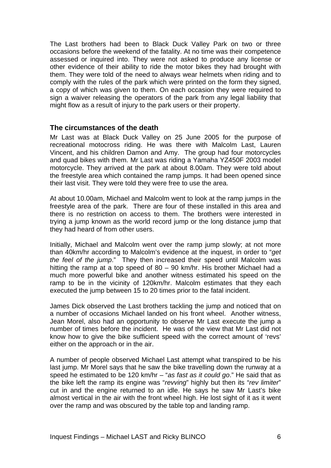<span id="page-7-0"></span>The Last brothers had been to Black Duck Valley Park on two or three occasions before the weekend of the fatality. At no time was their competence assessed or inquired into. They were not asked to produce any license or other evidence of their ability to ride the motor bikes they had brought with them. They were told of the need to always wear helmets when riding and to comply with the rules of the park which were printed on the form they signed, a copy of which was given to them. On each occasion they were required to sign a waiver releasing the operators of the park from any legal liability that might flow as a result of injury to the park users or their property.

#### **The circumstances of the death**

Mr Last was at Black Duck Valley on 25 June 2005 for the purpose of recreational motocross riding. He was there with Malcolm Last, Lauren Vincent, and his children Damon and Amy. The group had four motorcycles and quad bikes with them. Mr Last was riding a Yamaha YZ450F 2003 model motorcycle. They arrived at the park at about 8.00am. They were told about the freestyle area which contained the ramp jumps. It had been opened since their last visit. They were told they were free to use the area.

At about 10.00am, Michael and Malcolm went to look at the ramp jumps in the freestyle area of the park. There are four of these installed in this area and there is no restriction on access to them. The brothers were interested in trying a jump known as the world record jump or the long distance jump that they had heard of from other users.

Initially, Michael and Malcolm went over the ramp jump slowly; at not more than 40km/hr according to Malcolm's evidence at the inquest, in order to "*get the feel of the jump*." They then increased their speed until Malcolm was hitting the ramp at a top speed of 80 – 90 km/hr. His brother Michael had a much more powerful bike and another witness estimated his speed on the ramp to be in the vicinity of 120km/hr. Malcolm estimates that they each executed the jump between 15 to 20 times prior to the fatal incident.

James Dick observed the Last brothers tackling the jump and noticed that on a number of occasions Michael landed on his front wheel. Another witness, Jean Morel, also had an opportunity to observe Mr Last execute the jump a number of times before the incident. He was of the view that Mr Last did not know how to give the bike sufficient speed with the correct amount of 'revs' either on the approach or in the air.

A number of people observed Michael Last attempt what transpired to be his last jump. Mr Morel says that he saw the bike travelling down the runway at a speed he estimated to be 120 km/hr – "*as fast as it could go*." He said that as the bike left the ramp its engine was "*revving*" highly but then its "*rev limiter*" cut in and the engine returned to an idle. He says he saw Mr Last's bike almost vertical in the air with the front wheel high. He lost sight of it as it went over the ramp and was obscured by the table top and landing ramp.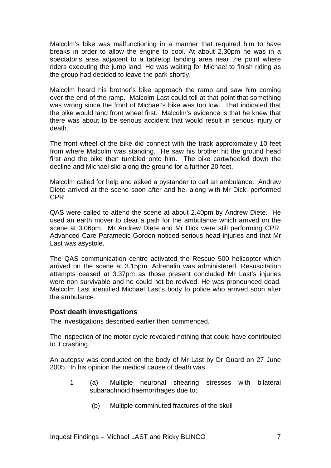<span id="page-8-0"></span>Malcolm's bike was malfunctioning in a manner that required him to have breaks in order to allow the engine to cool. At about 2.30pm he was in a spectator's area adjacent to a tabletop landing area near the point where riders executing the jump land. He was waiting for Michael to finish riding as the group had decided to leave the park shortly.

Malcolm heard his brother's bike approach the ramp and saw him coming over the end of the ramp. Malcolm Last could tell at that point that something was wrong since the front of Michael's bike was too low. That indicated that the bike would land front wheel first. Malcolm's evidence is that he knew that there was about to be serious accident that would result in serious injury or death.

The front wheel of the bike did connect with the track approximately 10 feet from where Malcolm was standing. He saw his brother hit the ground head first and the bike then tumbled onto him. The bike cartwheeled down the decline and Michael slid along the ground for a further 20 feet.

Malcolm called for help and asked a bystander to call an ambulance. Andrew Diete arrived at the scene soon after and he, along with Mr Dick, performed CPR.

QAS were called to attend the scene at about 2.40pm by Andrew Diete. He used an earth mover to clear a path for the ambulance which arrived on the scene at 3.06pm. Mr Andrew Diete and Mr Dick were still performing CPR. Advanced Care Paramedic Gordon noticed serious head injuries and that Mr Last was asystole.

The QAS communication centre activated the Rescue 500 helicopter which arrived on the scene at 3.15pm. Adrenalin was administered. Resuscitation attempts ceased at 3.37pm as those present concluded Mr Last's injuries were non survivable and he could not be revived. He was pronounced dead. Malcolm Last identified Michael Last's body to police who arrived soon after the ambulance.

#### **Post death investigations**

The investigations described earlier then commenced.

The inspection of the motor cycle revealed nothing that could have contributed to it crashing.

An autopsy was conducted on the body of Mr Last by Dr Guard on 27 June 2005. In his opinion the medical cause of death was

- 1 (a) Multiple neuronal shearing stresses with bilateral subarachnoid haemorrhages due to;
	- (b) Multiple comminuted fractures of the skull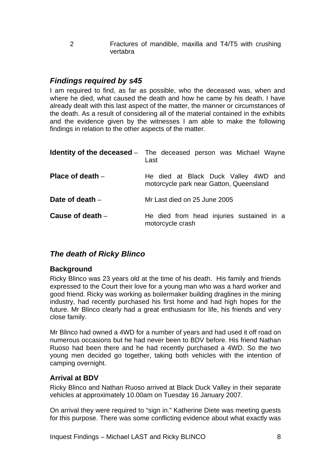<span id="page-9-0"></span>2 Fractures of mandible, maxilla and T4/T5 with crushing vertabra

# *Findings required by s45*

I am required to find, as far as possible, who the deceased was, when and where he died, what caused the death and how he came by his death. I have already dealt with this last aspect of the matter, the manner or circumstances of the death. As a result of considering all of the material contained in the exhibits and the evidence given by the witnesses I am able to make the following findings in relation to the other aspects of the matter.

|                    | <b>Identity of the deceased</b> – The deceased person was Michael Wayne<br>Last |
|--------------------|---------------------------------------------------------------------------------|
| Place of death $-$ | He died at Black Duck Valley 4WD and<br>motorcycle park near Gatton, Queensland |
| Date of death $-$  | Mr Last died on 25 June 2005                                                    |
| Cause of death $-$ | He died from head injuries sustained in a<br>motorcycle crash                   |

# *The death of Ricky Blinco*

#### **Background**

Ricky Blinco was 23 years old at the time of his death. His family and friends expressed to the Court their love for a young man who was a hard worker and good friend. Ricky was working as boilermaker building draglines in the mining industry, had recently purchased his first home and had high hopes for the future. Mr Blinco clearly had a great enthusiasm for life, his friends and very close family.

Mr Blinco had owned a 4WD for a number of years and had used it off road on numerous occasions but he had never been to BDV before. His friend Nathan Ruoso had been there and he had recently purchased a 4WD. So the two young men decided go together, taking both vehicles with the intention of camping overnight.

### **Arrival at BDV**

Ricky Blinco and Nathan Ruoso arrived at Black Duck Valley in their separate vehicles at approximately 10.00am on Tuesday 16 January 2007.

On arrival they were required to "sign in." Katherine Diete was meeting guests for this purpose. There was some conflicting evidence about what exactly was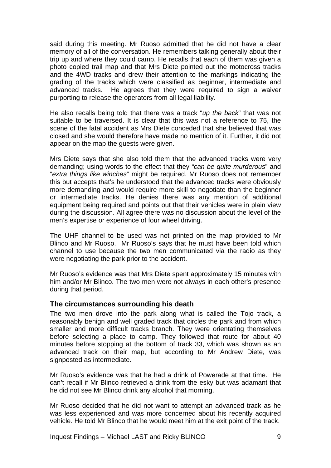<span id="page-10-0"></span>said during this meeting. Mr Ruoso admitted that he did not have a clear memory of all of the conversation. He remembers talking generally about their trip up and where they could camp. He recalls that each of them was given a photo copied trail map and that Mrs Diete pointed out the motocross tracks and the 4WD tracks and drew their attention to the markings indicating the grading of the tracks which were classified as beginner, intermediate and advanced tracks. He agrees that they were required to sign a waiver purporting to release the operators from all legal liability.

He also recalls being told that there was a track "*up the back*" that was not suitable to be traversed. It is clear that this was not a reference to 75, the scene of the fatal accident as Mrs Diete conceded that she believed that was closed and she would therefore have made no mention of it. Further, it did not appear on the map the guests were given.

Mrs Diete says that she also told them that the advanced tracks were very demanding; using words to the effect that they "*can be quite murderous*" and "*extra things like winches*" might be required. Mr Ruoso does not remember this but accepts that's he understood that the advanced tracks were obviously more demanding and would require more skill to negotiate than the beginner or intermediate tracks. He denies there was any mention of additional equipment being required and points out that their vehicles were in plain view during the discussion. All agree there was no discussion about the level of the men's expertise or experience of four wheel driving.

The UHF channel to be used was not printed on the map provided to Mr Blinco and Mr Ruoso. Mr Ruoso's says that he must have been told which channel to use because the two men communicated via the radio as they were negotiating the park prior to the accident.

Mr Ruoso's evidence was that Mrs Diete spent approximately 15 minutes with him and/or Mr Blinco. The two men were not always in each other's presence during that period.

#### **The circumstances surrounding his death**

The two men drove into the park along what is called the Tojo track, a reasonably benign and well graded track that circles the park and from which smaller and more difficult tracks branch. They were orientating themselves before selecting a place to camp. They followed that route for about 40 minutes before stopping at the bottom of track 33, which was shown as an advanced track on their map, but according to Mr Andrew Diete, was signposted as intermediate.

Mr Ruoso's evidence was that he had a drink of Powerade at that time. He can't recall if Mr Blinco retrieved a drink from the esky but was adamant that he did not see Mr Blinco drink any alcohol that morning.

Mr Ruoso decided that he did not want to attempt an advanced track as he was less experienced and was more concerned about his recently acquired vehicle. He told Mr Blinco that he would meet him at the exit point of the track.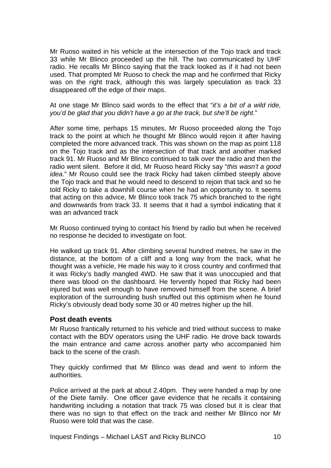<span id="page-11-0"></span>Mr Ruoso waited in his vehicle at the intersection of the Tojo track and track 33 while Mr Blinco proceeded up the hill. The two communicated by UHF radio. He recalls Mr Blinco saying that the track looked as if it had not been used. That prompted Mr Ruoso to check the map and he confirmed that Ricky was on the right track, although this was largely speculation as track 33 disappeared off the edge of their maps.

At one stage Mr Blinco said words to the effect that "*it's a bit of a wild ride, you'd be glad that you didn't have a go at the track, but she'll be right*."

After some time, perhaps 15 minutes, Mr Ruoso proceeded along the Tojo track to the point at which he thought Mr Blinco would rejoin it after having completed the more advanced track. This was shown on the map as point 118 on the Tojo track and as the intersection of that track and another marked track 91. Mr Ruoso and Mr Blinco continued to talk over the radio and then the radio went silent. Before it did, Mr Ruoso heard Ricky say "*this wasn't a good idea*." Mr Rouso could see the track Ricky had taken climbed steeply above the Tojo track and that he would need to descend to rejoin that tack and so he told Ricky to take a downhill course when he had an opportunity to. It seems that acting on this advice, Mr Blinco took track 75 which branched to the right and downwards from track 33. It seems that it had a symbol indicating that it was an advanced track

Mr Ruoso continued trying to contact his friend by radio but when he received no response he decided to investigate on foot.

He walked up track 91. After climbing several hundred metres, he saw in the distance, at the bottom of a cliff and a long way from the track, what he thought was a vehicle, He made his way to it cross country and confirmed that it was Ricky's badly mangled 4WD. He saw that it was unoccupied and that there was blood on the dashboard. He fervently hoped that Ricky had been injured but was well enough to have removed himself from the scene. A brief exploration of the surrounding bush snuffed out this optimism when he found Ricky's obviously dead body some 30 or 40 metres higher up the hill.

#### **Post death events**

Mr Ruoso frantically returned to his vehicle and tried without success to make contact with the BDV operators using the UHF radio. He drove back towards the main entrance and came across another party who accompanied him back to the scene of the crash.

They quickly confirmed that Mr Blinco was dead and went to inform the authorities.

Police arrived at the park at about 2.40pm. They were handed a map by one of the Diete family. One officer gave evidence that he recalls it containing handwriting including a notation that track 75 was closed but it is clear that there was no sign to that effect on the track and neither Mr Blinco nor Mr Ruoso were told that was the case.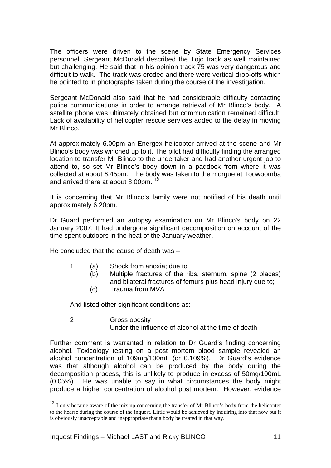The officers were driven to the scene by State Emergency Services personnel. Sergeant McDonald described the Tojo track as well maintained but challenging. He said that in his opinion track 75 was very dangerous and difficult to walk. The track was eroded and there were vertical drop-offs which he pointed to in photographs taken during the course of the investigation.

Sergeant McDonald also said that he had considerable difficulty contacting police communications in order to arrange retrieval of Mr Blinco's body. A satellite phone was ultimately obtained but communication remained difficult. Lack of availability of helicopter rescue services added to the delay in moving Mr Blinco.

At approximately 6.00pm an Energex helicopter arrived at the scene and Mr Blinco's body was winched up to it. The pilot had difficulty finding the arranged location to transfer Mr Blinco to the undertaker and had another urgent job to attend to, so set Mr Blinco's body down in a paddock from where it was collected at about 6.45pm. The body was taken to the morgue at Toowoomba and arrived there at about 8.00pm.  $1$ 

It is concerning that Mr Blinco's family were not notified of his death until approximately 6.20pm.

Dr Guard performed an autopsy examination on Mr Blinco's body on 22 January 2007. It had undergone significant decomposition on account of the time spent outdoors in the heat of the January weather.

He concluded that the cause of death was –

- 1 (a) Shock from anoxia; due to
	- (b) Multiple fractures of the ribs, sternum, spine (2 places) and bilateral fractures of femurs plus head injury due to;
	- (c) Trauma from MVA

And listed other significant conditions as:-

#### 2 Gross obesity

 $\overline{a}$ 

Under the influence of alcohol at the time of death

Further comment is warranted in relation to Dr Guard's finding concerning alcohol. Toxicology testing on a post mortem blood sample revealed an alcohol concentration of 109mg/100mL (or 0.109%). Dr Guard's evidence was that although alcohol can be produced by the body during the decomposition process, this is unlikely to produce in excess of 50mg/100mL (0.05%). He was unable to say in what circumstances the body might produce a higher concentration of alcohol post mortem. However, evidence

<span id="page-12-0"></span><sup>&</sup>lt;sup>12</sup> I only became aware of the mix up concerning the transfer of Mr Blinco's body from the helicopter to the hearse during the course of the inquest. Little would be achieved by inquiring into that now but it is obviously unacceptable and inappropriate that a body be treated in that way.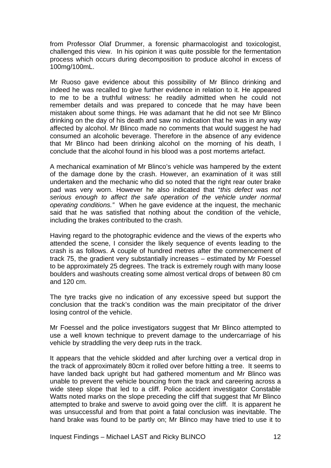from Professor Olaf Drummer, a forensic pharmacologist and toxicologist, challenged this view. In his opinion it was quite possible for the fermentation process which occurs during decomposition to produce alcohol in excess of 100mg/100mL.

Mr Ruoso gave evidence about this possibility of Mr Blinco drinking and indeed he was recalled to give further evidence in relation to it. He appeared to me to be a truthful witness: he readily admitted when he could not remember details and was prepared to concede that he may have been mistaken about some things. He was adamant that he did not see Mr Blinco drinking on the day of his death and saw no indication that he was in any way affected by alcohol. Mr Blinco made no comments that would suggest he had consumed an alcoholic beverage. Therefore in the absence of any evidence that Mr Blinco had been drinking alcohol on the morning of his death, I conclude that the alcohol found in his blood was a post mortems artefact.

A mechanical examination of Mr Blinco's vehicle was hampered by the extent of the damage done by the crash. However, an examination of it was still undertaken and the mechanic who did so noted that the right rear outer brake pad was very worn. However he also indicated that "*this defect was not serious enough to affect the safe operation of the vehicle under normal operating conditions."* When he gave evidence at the inquest, the mechanic said that he was satisfied that nothing about the condition of the vehicle, including the brakes contributed to the crash.

Having regard to the photographic evidence and the views of the experts who attended the scene, I consider the likely sequence of events leading to the crash is as follows. A couple of hundred metres after the commencement of track 75, the gradient very substantially increases – estimated by Mr Foessel to be approximately 25 degrees. The track is extremely rough with many loose boulders and washouts creating some almost vertical drops of between 80 cm and 120 cm.

The tyre tracks give no indication of any excessive speed but support the conclusion that the track's condition was the main precipitator of the driver losing control of the vehicle.

Mr Foessel and the police investigators suggest that Mr Blinco attempted to use a well known technique to prevent damage to the undercarriage of his vehicle by straddling the very deep ruts in the track.

It appears that the vehicle skidded and after lurching over a vertical drop in the track of approximately 80cm it rolled over before hitting a tree. It seems to have landed back upright but had gathered momentum and Mr Blinco was unable to prevent the vehicle bouncing from the track and careering across a wide steep slope that led to a cliff. Police accident investigator Constable Watts noted marks on the slope preceding the cliff that suggest that Mr Blinco attempted to brake and swerve to avoid going over the cliff. It is apparent he was unsuccessful and from that point a fatal conclusion was inevitable. The hand brake was found to be partly on; Mr Blinco may have tried to use it to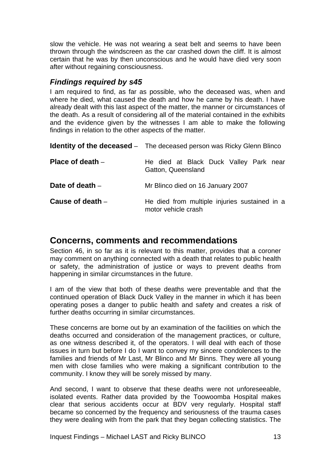<span id="page-14-0"></span>slow the vehicle. He was not wearing a seat belt and seems to have been thrown through the windscreen as the car crashed down the cliff. It is almost certain that he was by then unconscious and he would have died very soon after without regaining consciousness.

# *Findings required by s45*

I am required to find, as far as possible, who the deceased was, when and where he died, what caused the death and how he came by his death. I have already dealt with this last aspect of the matter, the manner or circumstances of the death. As a result of considering all of the material contained in the exhibits and the evidence given by the witnesses I am able to make the following findings in relation to the other aspects of the matter.

|                    | <b>Identity of the deceased</b> - The deceased person was Ricky Glenn Blinco |
|--------------------|------------------------------------------------------------------------------|
| Place of death $-$ | He died at Black Duck Valley Park near<br>Gatton, Queensland                 |
| Date of death -    | Mr Blinco died on 16 January 2007                                            |
| Cause of death $-$ | He died from multiple injuries sustained in a<br>motor vehicle crash         |

# **Concerns, comments and recommendations**

Section 46, in so far as it is relevant to this matter, provides that a coroner may comment on anything connected with a death that relates to public health or safety, the administration of justice or ways to prevent deaths from happening in similar circumstances in the future.

I am of the view that both of these deaths were preventable and that the continued operation of Black Duck Valley in the manner in which it has been operating poses a danger to public health and safety and creates a risk of further deaths occurring in similar circumstances.

These concerns are borne out by an examination of the facilities on which the deaths occurred and consideration of the management practices, or culture, as one witness described it, of the operators. I will deal with each of those issues in turn but before I do I want to convey my sincere condolences to the families and friends of Mr Last, Mr Blinco and Mr Binns. They were all young men with close families who were making a significant contribution to the community. I know they will be sorely missed by many.

And second, I want to observe that these deaths were not unforeseeable, isolated events. Rather data provided by the Toowoomba Hospital makes clear that serious accidents occur at BDV very regularly. Hospital staff became so concerned by the frequency and seriousness of the trauma cases they were dealing with from the park that they began collecting statistics. The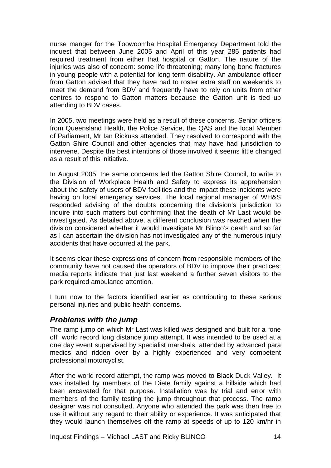<span id="page-15-0"></span>nurse manger for the Toowoomba Hospital Emergency Department told the inquest that between June 2005 and April of this year 285 patients had required treatment from either that hospital or Gatton. The nature of the injuries was also of concern: some life threatening; many long bone fractures in young people with a potential for long term disability. An ambulance officer from Gatton advised that they have had to roster extra staff on weekends to meet the demand from BDV and frequently have to rely on units from other centres to respond to Gatton matters because the Gatton unit is tied up attending to BDV cases.

In 2005, two meetings were held as a result of these concerns. Senior officers from Queensland Health, the Police Service, the QAS and the local Member of Parliament, Mr Ian Rickuss attended. They resolved to correspond with the Gatton Shire Council and other agencies that may have had jurisdiction to intervene. Despite the best intentions of those involved it seems little changed as a result of this initiative.

In August 2005, the same concerns led the Gatton Shire Council, to write to the Division of Workplace Health and Safety to express its apprehension about the safety of users of BDV facilities and the impact these incidents were having on local emergency services. The local regional manager of WH&S responded advising of the doubts concerning the division's jurisdiction to inquire into such matters but confirming that the death of Mr Last would be investigated. As detailed above, a different conclusion was reached when the division considered whether it would investigate Mr Blinco's death and so far as I can ascertain the division has not investigated any of the numerous injury accidents that have occurred at the park.

It seems clear these expressions of concern from responsible members of the community have not caused the operators of BDV to improve their practices: media reports indicate that just last weekend a further seven visitors to the park required ambulance attention.

I turn now to the factors identified earlier as contributing to these serious personal injuries and public health concerns.

### *Problems with the jump*

The ramp jump on which Mr Last was killed was designed and built for a "one off" world record long distance jump attempt. It was intended to be used at a one day event supervised by specialist marshals, attended by advanced para medics and ridden over by a highly experienced and very competent professional motorcyclist.

After the world record attempt, the ramp was moved to Black Duck Valley. It was installed by members of the Diete family against a hillside which had been excavated for that purpose. Installation was by trial and error with members of the family testing the jump throughout that process. The ramp designer was not consulted. Anyone who attended the park was then free to use it without any regard to their ability or experience. It was anticipated that they would launch themselves off the ramp at speeds of up to 120 km/hr in

Inquest Findings – Michael LAST and Ricky BLINCO 14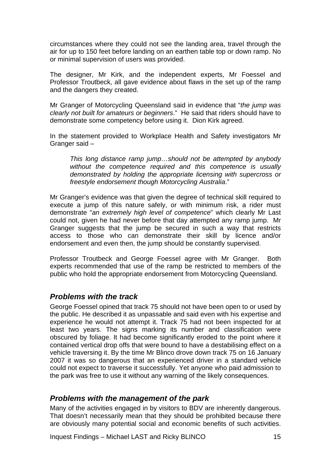<span id="page-16-0"></span>circumstances where they could not see the landing area, travel through the air for up to 150 feet before landing on an earthen table top or down ramp. No or minimal supervision of users was provided.

The designer, Mr Kirk, and the independent experts, Mr Foessel and Professor Troutbeck, all gave evidence about flaws in the set up of the ramp and the dangers they created.

Mr Granger of Motorcycling Queensland said in evidence that "*the jump was clearly not built for amateurs or beginners*." He said that riders should have to demonstrate some competency before using it. Dion Kirk agreed.

In the statement provided to Workplace Health and Safety investigators Mr Granger said –

*This long distance ramp jump…should not be attempted by anybody without the competence required and this competence is usually demonstrated by holding the appropriate licensing with supercross or freestyle endorsement though Motorcycling Australia*."

Mr Granger's evidence was that given the degree of technical skill required to execute a jump of this nature safely, or with minimum risk, a rider must demonstrate "*an extremely high level of competence*" which clearly Mr Last could not, given he had never before that day attempted any ramp jump. Mr Granger suggests that the jump be secured in such a way that restricts access to those who can demonstrate their skill by licence and/or endorsement and even then, the jump should be constantly supervised.

Professor Troutbeck and George Foessel agree with Mr Granger. Both experts recommended that use of the ramp be restricted to members of the public who hold the appropriate endorsement from Motorcycling Queensland.

### *Problems with the track*

George Foessel opined that track 75 should not have been open to or used by the public. He described it as unpassable and said even with his expertise and experience he would not attempt it. Track 75 had not been inspected for at least two years. The signs marking its number and classification were obscured by foliage. It had become significantly eroded to the point where it contained vertical drop offs that were bound to have a destabilising effect on a vehicle traversing it. By the time Mr Blinco drove down track 75 on 16 January 2007 it was so dangerous that an experienced driver in a standard vehicle could not expect to traverse it successfully. Yet anyone who paid admission to the park was free to use it without any warning of the likely consequences.

### *Problems with the management of the park*

Many of the activities engaged in by visitors to BDV are inherently dangerous. That doesn't necessarily mean that they should be prohibited because there are obviously many potential social and economic benefits of such activities.

Inquest Findings – Michael LAST and Ricky BLINCO 15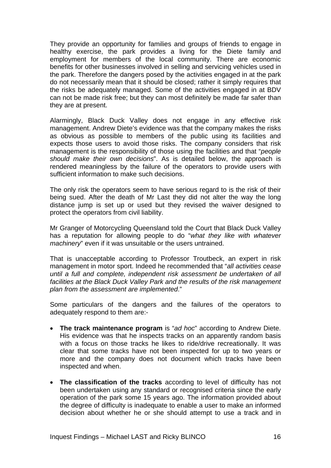They provide an opportunity for families and groups of friends to engage in healthy exercise, the park provides a living for the Diete family and employment for members of the local community. There are economic benefits for other businesses involved in selling and servicing vehicles used in the park. Therefore the dangers posed by the activities engaged in at the park do not necessarily mean that it should be closed; rather it simply requires that the risks be adequately managed. Some of the activities engaged in at BDV can not be made risk free; but they can most definitely be made far safer than they are at present.

Alarmingly, Black Duck Valley does not engage in any effective risk management. Andrew Diete's evidence was that the company makes the risks as obvious as possible to members of the public using its facilities and expects those users to avoid those risks. The company considers that risk management is the responsibility of those using the facilities and that "*people should make their own decisions*". As is detailed below, the approach is rendered meaningless by the failure of the operators to provide users with sufficient information to make such decisions.

The only risk the operators seem to have serious regard to is the risk of their being sued. After the death of Mr Last they did not alter the way the long distance jump is set up or used but they revised the waiver designed to protect the operators from civil liability.

Mr Granger of Motorcycling Queensland told the Court that Black Duck Valley has a reputation for allowing people to do "*what they like with whatever machinery*" even if it was unsuitable or the users untrained.

That is unacceptable according to Professor Troutbeck, an expert in risk management in motor sport. Indeed he recommended that "*all activities cease until a full and complete, independent risk assessment be undertaken of all facilities at the Black Duck Valley Park and the results of the risk management plan from the assessment are implemented*."

Some particulars of the dangers and the failures of the operators to adequately respond to them are:-

- **The track maintenance program** is "*ad hoc*" according to Andrew Diete. His evidence was that he inspects tracks on an apparently random basis with a focus on those tracks he likes to ride/drive recreationally. It was clear that some tracks have not been inspected for up to two years or more and the company does not document which tracks have been inspected and when.
- **The classification of the tracks** according to level of difficulty has not been undertaken using any standard or recognised criteria since the early operation of the park some 15 years ago. The information provided about the degree of difficulty is inadequate to enable a user to make an informed decision about whether he or she should attempt to use a track and in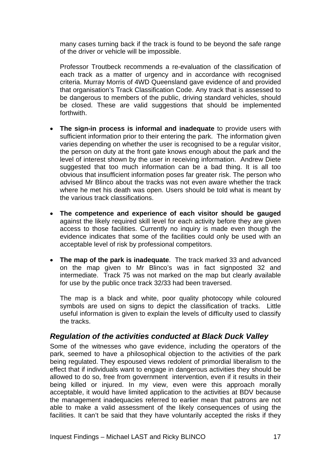<span id="page-18-0"></span>many cases turning back if the track is found to be beyond the safe range of the driver or vehicle will be impossible.

Professor Troutbeck recommends a re-evaluation of the classification of each track as a matter of urgency and in accordance with recognised criteria. Murray Morris of 4WD Queensland gave evidence of and provided that organisation's Track Classification Code. Any track that is assessed to be dangerous to members of the public, driving standard vehicles, should be closed. These are valid suggestions that should be implemented forthwith.

- **The sign-in process is informal and inadequate** to provide users with sufficient information prior to their entering the park. The information given varies depending on whether the user is recognised to be a regular visitor, the person on duty at the front gate knows enough about the park and the level of interest shown by the user in receiving information. Andrew Diete suggested that too much information can be a bad thing. It is all too obvious that insufficient information poses far greater risk. The person who advised Mr Blinco about the tracks was not even aware whether the track where he met his death was open. Users should be told what is meant by the various track classifications.
- **The competence and experience of each visitor should be gauged** against the likely required skill level for each activity before they are given access to those facilities. Currently no inquiry is made even though the evidence indicates that some of the facilities could only be used with an acceptable level of risk by professional competitors.
- **The map of the park is inadequate**. The track marked 33 and advanced on the map given to Mr Blinco's was in fact signposted 32 and intermediate. Track 75 was not marked on the map but clearly available for use by the public once track 32/33 had been traversed.

The map is a black and white, poor quality photocopy while coloured symbols are used on signs to depict the classification of tracks. Little useful information is given to explain the levels of difficulty used to classify the tracks.

# *Regulation of the activities conducted at Black Duck Valley*

Some of the witnesses who gave evidence, including the operators of the park, seemed to have a philosophical objection to the activities of the park being regulated. They espoused views redolent of primordial liberalism to the effect that if individuals want to engage in dangerous activities they should be allowed to do so, free from government intervention, even if it results in their being killed or injured. In my view, even were this approach morally acceptable, it would have limited application to the activities at BDV because the management inadequacies referred to earlier mean that patrons are not able to make a valid assessment of the likely consequences of using the facilities. It can't be said that they have voluntarily accepted the risks if they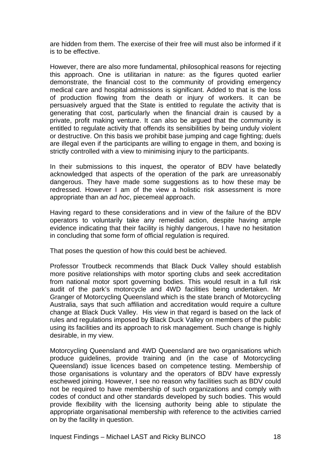are hidden from them. The exercise of their free will must also be informed if it is to be effective.

However, there are also more fundamental, philosophical reasons for rejecting this approach. One is utilitarian in nature: as the figures quoted earlier demonstrate, the financial cost to the community of providing emergency medical care and hospital admissions is significant. Added to that is the loss of production flowing from the death or injury of workers. It can be persuasively argued that the State is entitled to regulate the activity that is generating that cost, particularly when the financial drain is caused by a private, profit making venture. It can also be argued that the community is entitled to regulate activity that offends its sensibilities by being unduly violent or destructive. On this basis we prohibit base jumping and cage fighting; duels are illegal even if the participants are willing to engage in them, and boxing is strictly controlled with a view to minimising injury to the participants.

In their submissions to this inquest, the operator of BDV have belatedly acknowledged that aspects of the operation of the park are unreasonably dangerous. They have made some suggestions as to how these may be redressed. However I am of the view a holistic risk assessment is more appropriate than an *ad hoc*, piecemeal approach.

Having regard to these considerations and in view of the failure of the BDV operators to voluntarily take any remedial action, despite having ample evidence indicating that their facility is highly dangerous, I have no hesitation in concluding that some form of official regulation is required.

That poses the question of how this could best be achieved.

Professor Troutbeck recommends that Black Duck Valley should establish more positive relationships with motor sporting clubs and seek accreditation from national motor sport governing bodies. This would result in a full risk audit of the park's motorcycle and 4WD facilities being undertaken. Mr Granger of Motorcycling Queensland which is the state branch of Motorcycling Australia, says that such affiliation and accreditation would require a culture change at Black Duck Valley. His view in that regard is based on the lack of rules and regulations imposed by Black Duck Valley on members of the public using its facilities and its approach to risk management. Such change is highly desirable, in my view.

Motorcycling Queensland and 4WD Queensland are two organisations which produce guidelines, provide training and (in the case of Motorcycling Queensland) issue licences based on competence testing. Membership of those organisations is voluntary and the operators of BDV have expressly eschewed joining. However, I see no reason why facilities such as BDV could not be required to have membership of such organizations and comply with codes of conduct and other standards developed by such bodies. This would provide flexibility with the licensing authority being able to stipulate the appropriate organisational membership with reference to the activities carried on by the facility in question.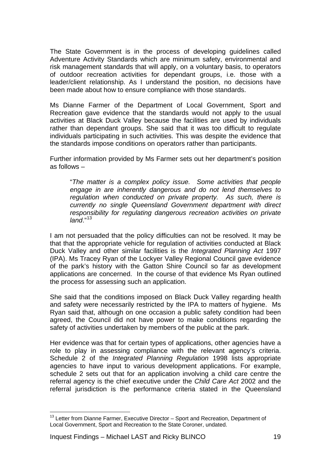The State Government is in the process of developing guidelines called Adventure Activity Standards which are minimum safety, environmental and risk management standards that will apply, on a voluntary basis, to operators of outdoor recreation activities for dependant groups, i.e. those with a leader/client relationship. As I understand the position, no decisions have been made about how to ensure compliance with those standards.

Ms Dianne Farmer of the Department of Local Government, Sport and Recreation gave evidence that the standards would not apply to the usual activities at Black Duck Valley because the facilities are used by individuals rather than dependant groups. She said that it was too difficult to regulate individuals participating in such activities. This was despite the evidence that the standards impose conditions on operators rather than participants.

Further information provided by Ms Farmer sets out her department's position as follows –

"*The matter is a complex policy issue. Some activities that people engage in are inherently dangerous and do not lend themselves to regulation when conducted on private property. As such, there is currently no single Queensland Government department with direct responsibility for regulating dangerous recreation activities on private land*."[13](#page-20-0)

I am not persuaded that the policy difficulties can not be resolved. It may be that that the appropriate vehicle for regulation of activities conducted at Black Duck Valley and other similar facilities is the *Integrated Planning Act* 1997 (IPA). Ms Tracey Ryan of the Lockyer Valley Regional Council gave evidence of the park's history with the Gatton Shire Council so far as development applications are concerned. In the course of that evidence Ms Ryan outlined the process for assessing such an application.

She said that the conditions imposed on Black Duck Valley regarding health and safety were necessarily restricted by the IPA to matters of hygiene. Ms Ryan said that, although on one occasion a public safety condition had been agreed, the Council did not have power to make conditions regarding the safety of activities undertaken by members of the public at the park.

Her evidence was that for certain types of applications, other agencies have a role to play in assessing compliance with the relevant agency's criteria. Schedule 2 of the *Integrated Planning Regulation* 1998 lists appropriate agencies to have input to various development applications. For example, schedule 2 sets out that for an application involving a child care centre the referral agency is the chief executive under the *Child Care Act* 2002 and the referral jurisdiction is the performance criteria stated in the Queensland

<span id="page-20-0"></span> $\overline{a}$ <sup>13</sup> Letter from Dianne Farmer. Executive Director – Sport and Recreation, Department of Local Government, Sport and Recreation to the State Coroner, undated.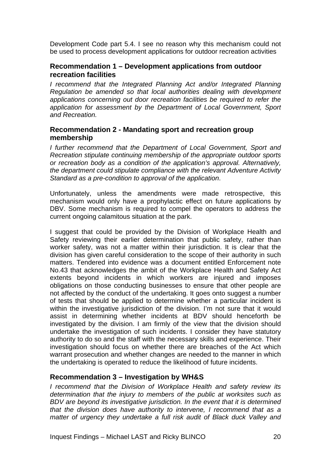<span id="page-21-0"></span>Development Code part 5.4. I see no reason why this mechanism could not be used to process development applications for outdoor recreation activities

## **Recommendation 1 – Development applications from outdoor recreation facilities**

*I* recommend that the Integrated Planning Act and/or Integrated Planning *Regulation be amended so that local authorities dealing with development applications concerning out door recreation facilities be required to refer the application for assessment by the Department of Local Government, Sport and Recreation.* 

## **Recommendation 2 - Mandating sport and recreation group membership**

*I further recommend that the Department of Local Government, Sport and Recreation stipulate continuing membership of the appropriate outdoor sports or recreation body as a condition of the application's approval. Alternatively, the department could stipulate compliance with the relevant Adventure Activity Standard as a pre-condition to approval of the application*.

Unfortunately, unless the amendments were made retrospective, this mechanism would only have a prophylactic effect on future applications by DBV. Some mechanism is required to compel the operators to address the current ongoing calamitous situation at the park.

I suggest that could be provided by the Division of Workplace Health and Safety reviewing their earlier determination that public safety, rather than worker safety, was not a matter within their jurisdiction. It is clear that the division has given careful consideration to the scope of their authority in such matters. Tendered into evidence was a document entitled Enforcement note No.43 that acknowledges the ambit of the Workplace Health and Safety Act extents beyond incidents in which workers are injured and imposes obligations on those conducting businesses to ensure that other people are not affected by the conduct of the undertaking. It goes onto suggest a number of tests that should be applied to determine whether a particular incident is within the investigative jurisdiction of the division. I'm not sure that it would assist in determining whether incidents at BDV should henceforth be investigated by the division. I am firmly of the view that the division should undertake the investigation of such incidents. I consider they have statutory authority to do so and the staff with the necessary skills and experience. Their investigation should focus on whether there are breaches of the Act which warrant prosecution and whether changes are needed to the manner in which the undertaking is operated to reduce the likelihood of future incidents.

# **Recommendation 3 – Investigation by WH&S**

*I recommend that the Division of Workplace Health and safety review its determination that the injury to members of the public at worksites such as BDV are beyond its investigative jurisdiction. In the event that it is determined that the division does have authority to intervene, I recommend that as a matter of urgency they undertake a full risk audit of Black duck Valley and*